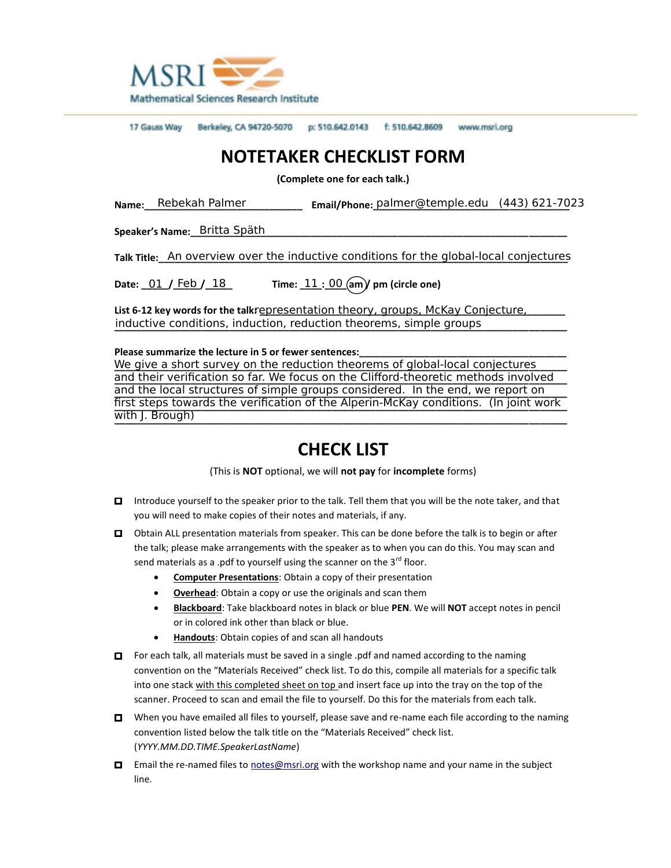

17 Gauss Way Berkeley, CA 94720-5070 p: 510.642.0143 f: 510.642.8609 www.msri.org

## **NOTETAKER CHECKLIST FORM**

**(Complete one for each talk.)**

Name:\_\_\_Rebekah Palmer \_\_\_\_\_\_\_\_\_\_\_\_\_\_\_\_\_\_ Email/Phone: <u>palmer@temple.edu (443)621-70</u>23

**Speaker's Name:\_\_\_\_\_\_\_\_\_\_\_\_\_\_\_\_\_\_\_\_\_\_\_\_\_\_\_\_\_\_\_\_\_\_\_\_\_\_\_\_\_\_\_\_\_\_\_\_\_\_\_\_\_\_\_\_\_\_\_\_\_\_\_\_\_\_\_\_\_** Britta Späth

**Talk Title:\_\_\_An overview over the inductive conditions for the global-local conjectures** 

**Date: \_\_\_\_\_/\_\_\_\_\_/\_\_\_\_\_ Time: \_\_\_\_:\_\_\_\_ am / pm (circle one)** 11 00 Date:  $01 /$  Feb  $/ 18$ 

**List 612 key words for the talk: \_\_\_\_\_\_\_\_\_\_\_\_\_\_\_\_\_\_\_\_\_\_\_\_\_\_\_\_\_\_\_\_\_\_\_\_\_\_\_\_\_\_\_\_\_\_\_\_\_\_\_\_\_\_\_\_** representation theory, groups, McKay Conjecture, inductive conditions, induction, reduction theorems, simple groups

**Please summarize the lecture in 5 or fewer sentences:\_\_\_\_\_\_\_\_\_\_\_\_\_\_\_\_\_\_\_\_\_\_\_\_\_\_\_\_\_\_\_\_\_\_\_\_\_\_**

<u>We give a short survey on the reduction theorems of global-local conjectures \_\_\_\_</u> and their verification so far. We focus on the Clifford-theoretic methods involved and the local structures of simple groups considered. In the end, we report on first steps towards the verification of the Alperin-McKay conditions. (In joint work **\_\_\_\_\_\_\_\_\_\_\_\_\_\_\_\_\_\_\_\_\_\_\_\_\_\_\_\_\_\_\_\_\_\_\_\_\_\_\_\_\_\_\_\_\_\_\_\_\_\_\_\_\_\_\_\_\_\_\_\_\_\_\_\_\_\_\_\_\_\_\_\_\_\_\_\_\_\_\_\_\_\_\_** with J. Brough)

## **CHECK LIST**

(This is **NOT** optional, we will **not pay** for **incomplete** forms)

- □ Introduce yourself to the speaker prior to the talk. Tell them that you will be the note taker, and that you will need to make copies of their notes and materials, if any.
- □ Obtain ALL presentation materials from speaker. This can be done before the talk is to begin or after the talk; please make arrangements with the speaker as to when you can do this. You may scan and send materials as a .pdf to yourself using the scanner on the  $3^{rd}$  floor.
	- **Computer Presentations**: Obtain a copy of their presentation
	- **Overhead**: Obtain a copy or use the originals and scan them
	- **Blackboard**: Take blackboard notes in black or blue **PEN**. We will **NOT** accept notes in pencil or in colored ink other than black or blue.
	- **Handouts**: Obtain copies of and scan all handouts
- □ For each talk, all materials must be saved in a single .pdf and named according to the naming convention on the "Materials Received" check list. To do this, compile all materials for a specific talk into one stack with this completed sheet on top and insert face up into the tray on the top of the scanner. Proceed to scan and email the file to yourself. Do this for the materials from each talk.
- $\Box$  When you have emailed all files to yourself, please save and re-name each file according to the naming convention listed below the talk title on the "Materials Received" check list. (*YYYY.MM.DD.TIME.SpeakerLastName*)
- □ Email the re-named files to notes@msri.org with the workshop name and your name in the subject line.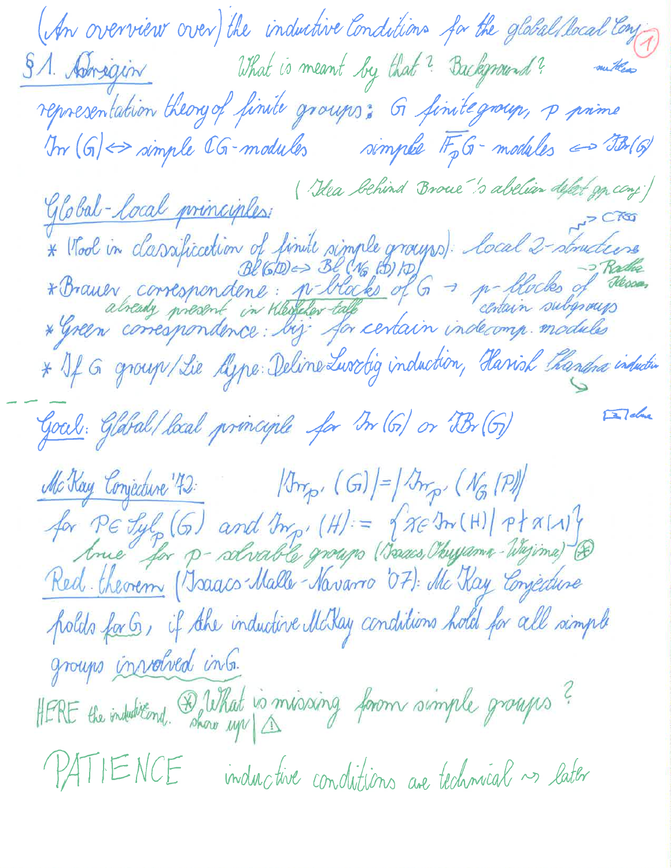(An overview over) the inductive Conditions for the global Rocal Conj S.A. Adrigin What is meant by that? Background? mutter representation theory of finite groups: G finite group, p prime In  $(G) \Leftrightarrow$  simple  $CG$ -modules simple  $IF_pG$ -modules  $\Leftrightarrow$  TB(G) Ylobal-Local principles:<br>\* Wool in classification of finite simple groups). Local 2-structure<br>\* Wool in classification of finite simple groups). Local 2-structure<br>\* Brauer correspondent : p-blacks of G -> p-blocks of desig \* If G group/Lie Algne: Deline Luschig induction, Hanish Thandra induction  $\Box$ dm Goal: Glábal/local principle for M (G) or Br (G) McKay Conjecture '42: (G) = (Imp. (Ng [P] for PE Jyl, (G) and My, (H) = { NE In (H) | Pt A[1]}<br>Ance for p- solvable groups (Isaacs, Obygama-Wajima) &<br>Red. theorem (Isaacs-Malle-Navarro '07): Mc Kay Conjecture polds for G, if the inductive McKay conditions hold for all simple groups involved into. HERE the indubitional. De What is missaing forom simple groups? PATIENCE inductive conditions are technical ~ later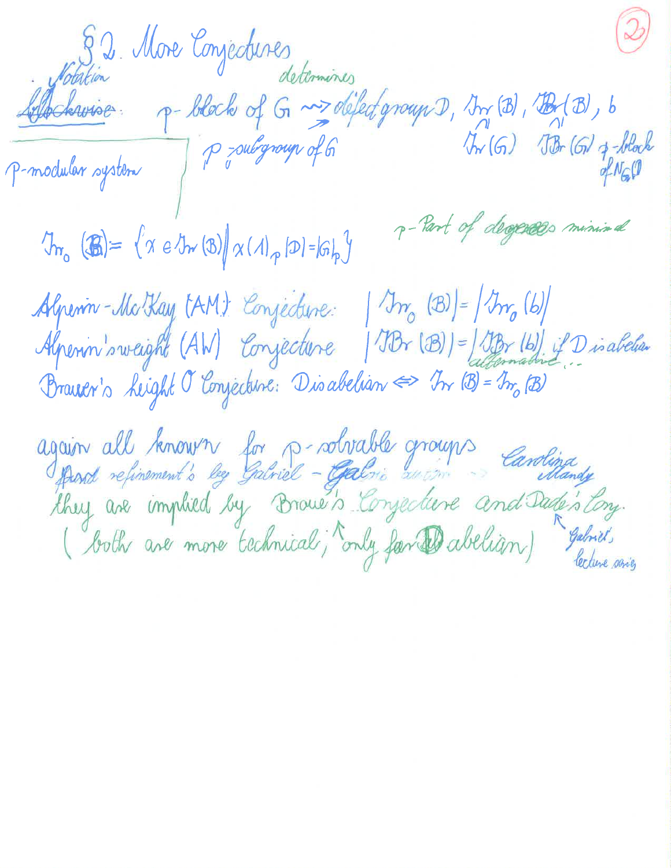S. 2. More Conjectures<br>determines<br>Allockwine - p-block of G ~> defect group D, In (B), B(B), b<br>P-modular system | P = subgroup of G<br>P-modular system | P = subgroup of G p-Part of degrees minimal  $\mathcal{D}_{m_{o}}(\mathbf{B}) = \{x \in \mathcal{D}_{m}(\mathbf{B}) | x(\Lambda)_{p} | D = |G|_{p}\}$ Alpenin-McKay (AM) Conjecture: | Tr, (B) = | Tr, (b) Alpenin's weight (AW) Conjecture | JBr (B)] = JBr (b) if Disabelian Brauer's Leight O'Emjecture: Disabelian => In (B) = In (B) again all known for p-robrable groups Canolina<br>fond reprenent's by Gabriel - Galis weim Canolina<br>they are implied by Droue's Conjecture and Dade's Eng.<br>(both are more technical; only far Dabelugn) gebrit.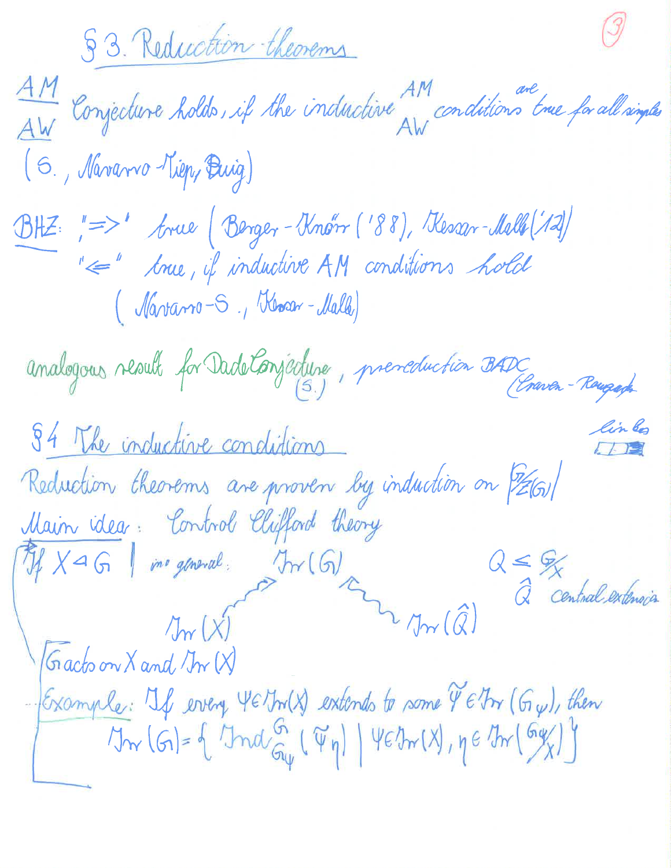<u> 53. Reduction theorems</u>

AM Conjecture holds, if the inductive AM conditions true for all simples (S., Navarro Kiep, Buig) BHZ: "=>' Arue (Berger-Knørr ('88), Kessar-Malle (12) " Ime, if inductive AM conditions hold (Marrano-S., Khoan-Malk) analogous result for Dade Conjecture, preneduction BADC 84 The inductive conditions Reduction theorems are proven by induction on [261] Main idea : Control Clifford theory  $Q \leq \frac{Q}{X}$  Central extension Tif X a G | ine general. Trr (G) 4 Jm (Q)  $|$  Gracto on  $X$  and  $\mathcal{J}_{\mathcal{W}}(X)$ -Example: 4 every YE Jr (X) extends to some YE Irr (Gy), then  $\forall w(G) = \left\{ \text{Ind}_{G_{\psi}}( \psi_{\eta}) \mid \psi \in \mathcal{V}_{w}(X), \eta \in \mathcal{V}_{w}(G_{X}) \right\}$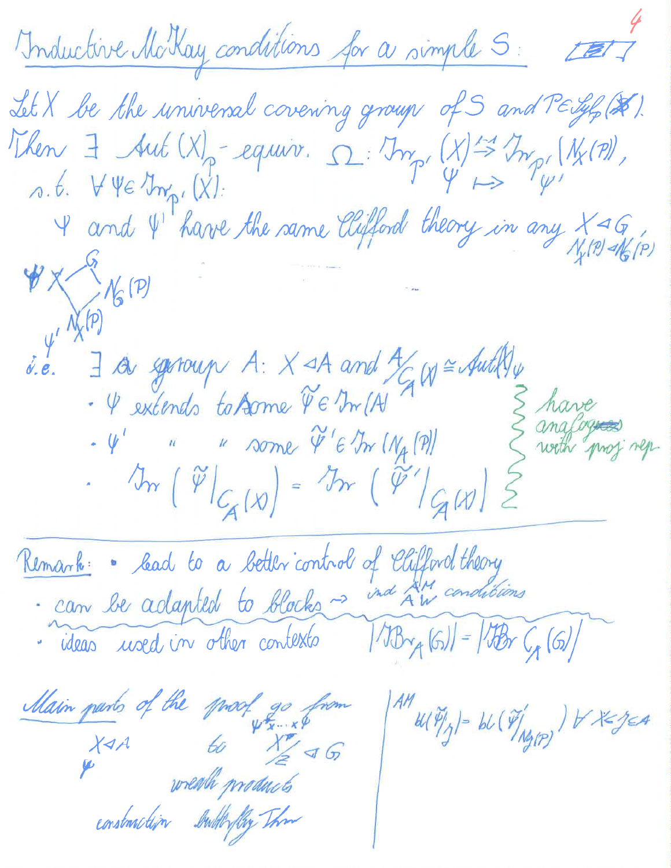Inductive McKay conditions for a simple S: ETT Let X be the universal covering group of S and  $T \in \mathcal{Y}_p(\mathcal{X})$ .<br>Then  $\exists$  Aut (X) = equiv.  $\Omega: \mathbb{R}_{p'}(X) \stackrel{\leftharpoonup}{\Rightarrow} \mathbb{R}_{p'}(N_X(\eta))$ ,<br>o.t.  $\forall \forall e \exists m_{p'}(X)$ :<br> $\forall$  and  $\Psi'$  have the same Clifford theory in any  $X \triangleleft G$  $\frac{1}{4}$  $\begin{array}{lll} \text{if } & \text{if } & \text{if } & \text{if } & \text{if } & \text{if } & \text{if } & \text{if } & \text{if } & \text{if } & \text{if } & \text{if } & \text{if } & \text{if } & \text{if } & \text{if } & \text{if } & \text{if } & \text{if } & \text{if } & \text{if } & \text{if } & \text{if } & \text{if } & \text{if } & \text{if } & \text{if } & \text{if } & \text{if } & \text{if } & \text{if } & \text{if } & \text{if } & \text{if } & \text{if } & \text$ of Chifford theory Kemark: Cead to a better control ind AM condibions · can be adapted to blocks ~ - ideas used in other contexts  $|IB_{\gamma_{A}}(G)| = |IB_{\gamma_{A}}(G)|$ Main parts of the proof go from  $\mathcal{H}^{\prime\prime}$   $\mathcal{H}(\widetilde{\mathcal{V}}_{1/2}^{\prime})$  = bl  $(\widetilde{\mathcal{V}}_{1/2}^{\prime\prime})$  )  $\forall$   $\forall$   $\leq$   $\leq$   $\land$  $x_{4A}$  to  $x_{2}^{*}$  a G

construction butterfly The